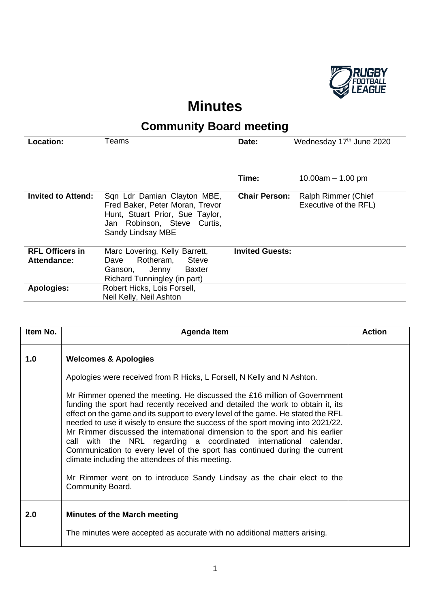

## **Minutes**

## **Community Board meeting**

| Location:                                    | Teams                                                                                                                                   | Date:                  | Wednesday 17th June 2020 |
|----------------------------------------------|-----------------------------------------------------------------------------------------------------------------------------------------|------------------------|--------------------------|
|                                              |                                                                                                                                         | Time:                  | 10.00am $-$ 1.00 pm      |
| <b>Invited to Attend:</b>                    | Sqn Ldr Damian Clayton MBE,                                                                                                             | <b>Chair Person:</b>   | Ralph Rimmer (Chief      |
|                                              | Fred Baker, Peter Moran, Trevor<br>Hunt, Stuart Prior, Sue Taylor,<br>Jan Robinson, Steve Curtis,<br>Sandy Lindsay MBE                  |                        | Executive of the RFL)    |
|                                              |                                                                                                                                         |                        |                          |
| <b>RFL Officers in</b><br><b>Attendance:</b> | Marc Lovering, Kelly Barrett,<br><b>Steve</b><br>Rotheram,<br>Dave<br>Ganson.<br><b>Baxter</b><br>Jenny<br>Richard Tunningley (in part) | <b>Invited Guests:</b> |                          |
| <b>Apologies:</b>                            | Robert Hicks, Lois Forsell,<br>Neil Kelly, Neil Ashton                                                                                  |                        |                          |

| Item No. | Agenda Item                                                                                                                                                                                                                                                                                                                                                                                                                                                                                                                                                                                                                                                                                                                                                                                                                          | <b>Action</b> |
|----------|--------------------------------------------------------------------------------------------------------------------------------------------------------------------------------------------------------------------------------------------------------------------------------------------------------------------------------------------------------------------------------------------------------------------------------------------------------------------------------------------------------------------------------------------------------------------------------------------------------------------------------------------------------------------------------------------------------------------------------------------------------------------------------------------------------------------------------------|---------------|
| 1.0      | <b>Welcomes &amp; Apologies</b><br>Apologies were received from R Hicks, L Forsell, N Kelly and N Ashton.<br>Mr Rimmer opened the meeting. He discussed the £16 million of Government<br>funding the sport had recently received and detailed the work to obtain it, its<br>effect on the game and its support to every level of the game. He stated the RFL<br>needed to use it wisely to ensure the success of the sport moving into 2021/22.<br>Mr Rimmer discussed the international dimension to the sport and his earlier<br>call with the NRL regarding a coordinated international calendar.<br>Communication to every level of the sport has continued during the current<br>climate including the attendees of this meeting.<br>Mr Rimmer went on to introduce Sandy Lindsay as the chair elect to the<br>Community Board. |               |
| 2.0      | <b>Minutes of the March meeting</b><br>The minutes were accepted as accurate with no additional matters arising.                                                                                                                                                                                                                                                                                                                                                                                                                                                                                                                                                                                                                                                                                                                     |               |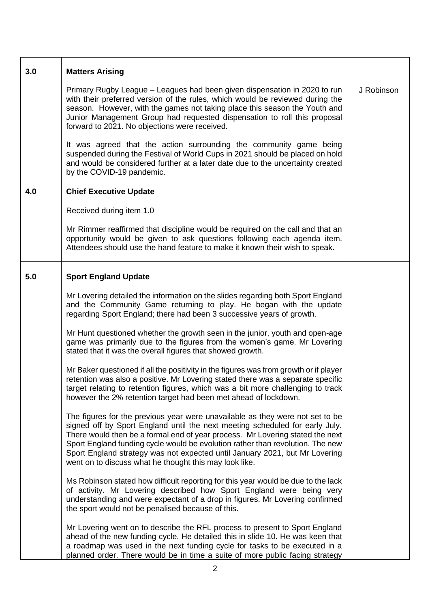| 3.0 | <b>Matters Arising</b>                                                                                                                                                                                                                                                                                                                                                                                                                                                    |            |
|-----|---------------------------------------------------------------------------------------------------------------------------------------------------------------------------------------------------------------------------------------------------------------------------------------------------------------------------------------------------------------------------------------------------------------------------------------------------------------------------|------------|
|     | Primary Rugby League – Leagues had been given dispensation in 2020 to run<br>with their preferred version of the rules, which would be reviewed during the<br>season. However, with the games not taking place this season the Youth and<br>Junior Management Group had requested dispensation to roll this proposal<br>forward to 2021. No objections were received.                                                                                                     | J Robinson |
|     | It was agreed that the action surrounding the community game being<br>suspended during the Festival of World Cups in 2021 should be placed on hold<br>and would be considered further at a later date due to the uncertainty created<br>by the COVID-19 pandemic.                                                                                                                                                                                                         |            |
| 4.0 | <b>Chief Executive Update</b>                                                                                                                                                                                                                                                                                                                                                                                                                                             |            |
|     | Received during item 1.0                                                                                                                                                                                                                                                                                                                                                                                                                                                  |            |
|     | Mr Rimmer reaffirmed that discipline would be required on the call and that an<br>opportunity would be given to ask questions following each agenda item.<br>Attendees should use the hand feature to make it known their wish to speak.                                                                                                                                                                                                                                  |            |
| 5.0 | <b>Sport England Update</b>                                                                                                                                                                                                                                                                                                                                                                                                                                               |            |
|     | Mr Lovering detailed the information on the slides regarding both Sport England<br>and the Community Game returning to play. He began with the update<br>regarding Sport England; there had been 3 successive years of growth.                                                                                                                                                                                                                                            |            |
|     | Mr Hunt questioned whether the growth seen in the junior, youth and open-age<br>game was primarily due to the figures from the women's game. Mr Lovering<br>stated that it was the overall figures that showed growth.                                                                                                                                                                                                                                                    |            |
|     | Mr Baker questioned if all the positivity in the figures was from growth or if player<br>retention was also a positive. Mr Lovering stated there was a separate specific<br>target relating to retention figures, which was a bit more challenging to track<br>however the 2% retention target had been met ahead of lockdown.                                                                                                                                            |            |
|     | The figures for the previous year were unavailable as they were not set to be<br>signed off by Sport England until the next meeting scheduled for early July.<br>There would then be a formal end of year process. Mr Lovering stated the next<br>Sport England funding cycle would be evolution rather than revolution. The new<br>Sport England strategy was not expected until January 2021, but Mr Lovering<br>went on to discuss what he thought this may look like. |            |
|     | Ms Robinson stated how difficult reporting for this year would be due to the lack<br>of activity. Mr Lovering described how Sport England were being very<br>understanding and were expectant of a drop in figures. Mr Lovering confirmed<br>the sport would not be penalised because of this.                                                                                                                                                                            |            |
|     | Mr Lovering went on to describe the RFL process to present to Sport England<br>ahead of the new funding cycle. He detailed this in slide 10. He was keen that<br>a roadmap was used in the next funding cycle for tasks to be executed in a<br>planned order. There would be in time a suite of more public facing strategy                                                                                                                                               |            |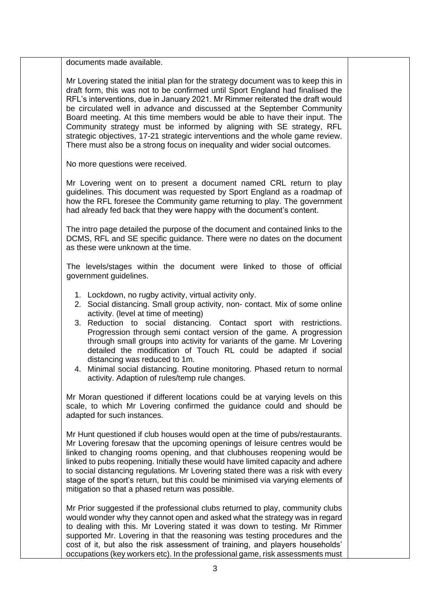| documents made available.                                                                                                                                                                                                                                                                                                                                                                                                                                                                                                                                                                                                                              |  |
|--------------------------------------------------------------------------------------------------------------------------------------------------------------------------------------------------------------------------------------------------------------------------------------------------------------------------------------------------------------------------------------------------------------------------------------------------------------------------------------------------------------------------------------------------------------------------------------------------------------------------------------------------------|--|
| Mr Lovering stated the initial plan for the strategy document was to keep this in<br>draft form, this was not to be confirmed until Sport England had finalised the<br>RFL's interventions, due in January 2021. Mr Rimmer reiterated the draft would<br>be circulated well in advance and discussed at the September Community<br>Board meeting. At this time members would be able to have their input. The<br>Community strategy must be informed by aligning with SE strategy, RFL<br>strategic objectives, 17-21 strategic interventions and the whole game review.<br>There must also be a strong focus on inequality and wider social outcomes. |  |
| No more questions were received.                                                                                                                                                                                                                                                                                                                                                                                                                                                                                                                                                                                                                       |  |
| Mr Lovering went on to present a document named CRL return to play<br>guidelines. This document was requested by Sport England as a roadmap of<br>how the RFL foresee the Community game returning to play. The government<br>had already fed back that they were happy with the document's content.                                                                                                                                                                                                                                                                                                                                                   |  |
| The intro page detailed the purpose of the document and contained links to the<br>DCMS, RFL and SE specific guidance. There were no dates on the document<br>as these were unknown at the time.                                                                                                                                                                                                                                                                                                                                                                                                                                                        |  |
| The levels/stages within the document were linked to those of official<br>government guidelines.                                                                                                                                                                                                                                                                                                                                                                                                                                                                                                                                                       |  |
| 1. Lockdown, no rugby activity, virtual activity only.<br>2. Social distancing. Small group activity, non- contact. Mix of some online<br>activity. (level at time of meeting)<br>3. Reduction to social distancing. Contact sport with restrictions.<br>Progression through semi contact version of the game. A progression<br>through small groups into activity for variants of the game. Mr Lovering<br>detailed the modification of Touch RL could be adapted if social<br>distancing was reduced to 1m.<br>4. Minimal social distancing. Routine monitoring. Phased return to normal<br>activity. Adaption of rules/temp rule changes.           |  |
| Mr Moran questioned if different locations could be at varying levels on this<br>scale, to which Mr Lovering confirmed the guidance could and should be<br>adapted for such instances.                                                                                                                                                                                                                                                                                                                                                                                                                                                                 |  |
| Mr Hunt questioned if club houses would open at the time of pubs/restaurants.<br>Mr Lovering foresaw that the upcoming openings of leisure centres would be<br>linked to changing rooms opening, and that clubhouses reopening would be<br>linked to pubs reopening. Initially these would have limited capacity and adhere<br>to social distancing regulations. Mr Lovering stated there was a risk with every<br>stage of the sport's return, but this could be minimised via varying elements of<br>mitigation so that a phased return was possible.                                                                                                |  |
| Mr Prior suggested if the professional clubs returned to play, community clubs<br>would wonder why they cannot open and asked what the strategy was in regard<br>to dealing with this. Mr Lovering stated it was down to testing. Mr Rimmer<br>supported Mr. Lovering in that the reasoning was testing procedures and the<br>cost of it, but also the risk assessment of training, and players households'<br>occupations (key workers etc). In the professional game, risk assessments must                                                                                                                                                          |  |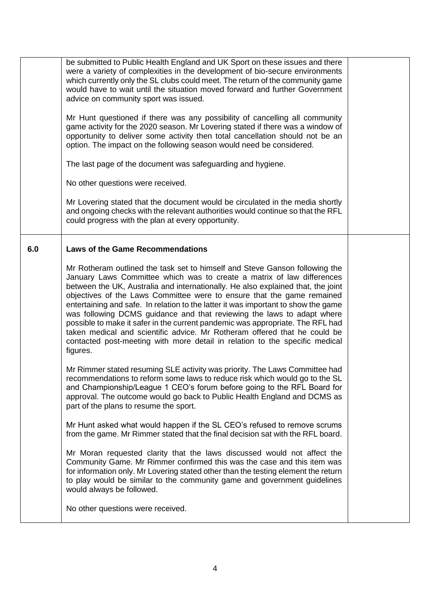|     | be submitted to Public Health England and UK Sport on these issues and there<br>were a variety of complexities in the development of bio-secure environments<br>which currently only the SL clubs could meet. The return of the community game<br>would have to wait until the situation moved forward and further Government<br>advice on community sport was issued.<br>Mr Hunt questioned if there was any possibility of cancelling all community<br>game activity for the 2020 season. Mr Lovering stated if there was a window of<br>opportunity to deliver some activity then total cancellation should not be an<br>option. The impact on the following season would need be considered.<br>The last page of the document was safeguarding and hygiene.<br>No other questions were received.<br>Mr Lovering stated that the document would be circulated in the media shortly<br>and ongoing checks with the relevant authorities would continue so that the RFL<br>could progress with the plan at every opportunity.                                                                                                                                                                                                                                                                                         |  |
|-----|------------------------------------------------------------------------------------------------------------------------------------------------------------------------------------------------------------------------------------------------------------------------------------------------------------------------------------------------------------------------------------------------------------------------------------------------------------------------------------------------------------------------------------------------------------------------------------------------------------------------------------------------------------------------------------------------------------------------------------------------------------------------------------------------------------------------------------------------------------------------------------------------------------------------------------------------------------------------------------------------------------------------------------------------------------------------------------------------------------------------------------------------------------------------------------------------------------------------------------------------------------------------------------------------------------------------|--|
| 6.0 | <b>Laws of the Game Recommendations</b><br>Mr Rotheram outlined the task set to himself and Steve Ganson following the<br>January Laws Committee which was to create a matrix of law differences<br>between the UK, Australia and internationally. He also explained that, the joint<br>objectives of the Laws Committee were to ensure that the game remained<br>entertaining and safe. In relation to the latter it was important to show the game<br>was following DCMS guidance and that reviewing the laws to adapt where<br>possible to make it safer in the current pandemic was appropriate. The RFL had<br>taken medical and scientific advice. Mr Rotheram offered that he could be<br>contacted post-meeting with more detail in relation to the specific medical<br>figures.<br>Mr Rimmer stated resuming SLE activity was priority. The Laws Committee had<br>recommendations to reform some laws to reduce risk which would go to the SL<br>and Championship/League 1 CEO's forum before going to the RFL Board for<br>approval. The outcome would go back to Public Health England and DCMS as<br>part of the plans to resume the sport.<br>Mr Hunt asked what would happen if the SL CEO's refused to remove scrums<br>from the game. Mr Rimmer stated that the final decision sat with the RFL board. |  |
|     | Mr Moran requested clarity that the laws discussed would not affect the<br>Community Game. Mr Rimmer confirmed this was the case and this item was<br>for information only. Mr Lovering stated other than the testing element the return<br>to play would be similar to the community game and government guidelines<br>would always be followed.<br>No other questions were received.                                                                                                                                                                                                                                                                                                                                                                                                                                                                                                                                                                                                                                                                                                                                                                                                                                                                                                                                 |  |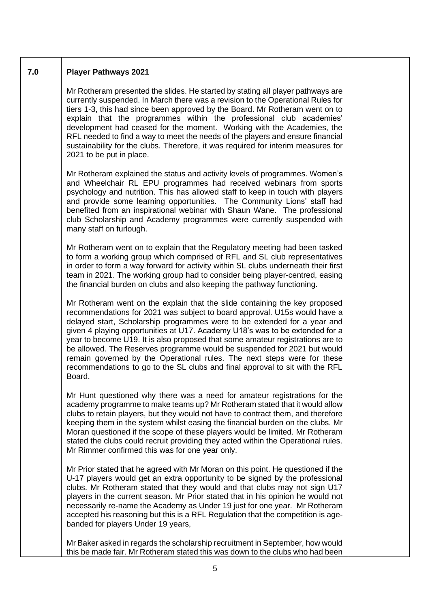## **7.0 Player Pathways 2021**

Mr Rotheram presented the slides. He started by stating all player pathways are currently suspended. In March there was a revision to the Operational Rules for tiers 1-3, this had since been approved by the Board. Mr Rotheram went on to explain that the programmes within the professional club academies' development had ceased for the moment. Working with the Academies, the RFL needed to find a way to meet the needs of the players and ensure financial sustainability for the clubs. Therefore, it was required for interim measures for 2021 to be put in place.

Mr Rotheram explained the status and activity levels of programmes. Women's and Wheelchair RL EPU programmes had received webinars from sports psychology and nutrition. This has allowed staff to keep in touch with players and provide some learning opportunities. The Community Lions' staff had benefited from an inspirational webinar with Shaun Wane. The professional club Scholarship and Academy programmes were currently suspended with many staff on furlough.

Mr Rotheram went on to explain that the Regulatory meeting had been tasked to form a working group which comprised of RFL and SL club representatives in order to form a way forward for activity within SL clubs underneath their first team in 2021. The working group had to consider being player-centred, easing the financial burden on clubs and also keeping the pathway functioning.

Mr Rotheram went on the explain that the slide containing the key proposed recommendations for 2021 was subject to board approval. U15s would have a delayed start, Scholarship programmes were to be extended for a year and given 4 playing opportunities at U17. Academy U18's was to be extended for a year to become U19. It is also proposed that some amateur registrations are to be allowed. The Reserves programme would be suspended for 2021 but would remain governed by the Operational rules. The next steps were for these recommendations to go to the SL clubs and final approval to sit with the RFL Board.

Mr Hunt questioned why there was a need for amateur registrations for the academy programme to make teams up? Mr Rotheram stated that it would allow clubs to retain players, but they would not have to contract them, and therefore keeping them in the system whilst easing the financial burden on the clubs. Mr Moran questioned if the scope of these players would be limited. Mr Rotheram stated the clubs could recruit providing they acted within the Operational rules. Mr Rimmer confirmed this was for one year only.

Mr Prior stated that he agreed with Mr Moran on this point. He questioned if the U-17 players would get an extra opportunity to be signed by the professional clubs. Mr Rotheram stated that they would and that clubs may not sign U17 players in the current season. Mr Prior stated that in his opinion he would not necessarily re-name the Academy as Under 19 just for one year. Mr Rotheram accepted his reasoning but this is a RFL Regulation that the competition is agebanded for players Under 19 years,

Mr Baker asked in regards the scholarship recruitment in September, how would this be made fair. Mr Rotheram stated this was down to the clubs who had been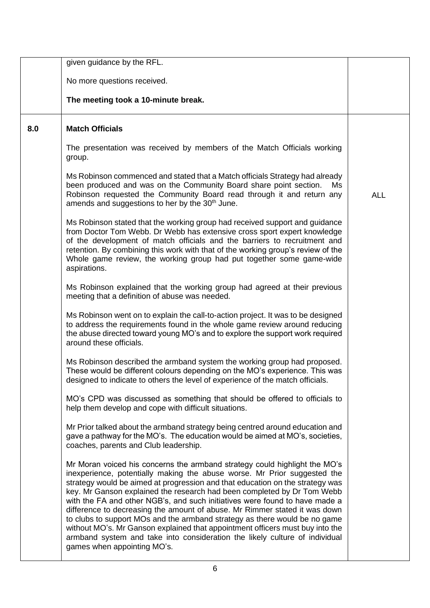|     | given guidance by the RFL.                                                                                                                                                                                                                                                                                                                                                                                                                                                                                                                                                                                                                                                                                                                                   |            |
|-----|--------------------------------------------------------------------------------------------------------------------------------------------------------------------------------------------------------------------------------------------------------------------------------------------------------------------------------------------------------------------------------------------------------------------------------------------------------------------------------------------------------------------------------------------------------------------------------------------------------------------------------------------------------------------------------------------------------------------------------------------------------------|------------|
|     | No more questions received.                                                                                                                                                                                                                                                                                                                                                                                                                                                                                                                                                                                                                                                                                                                                  |            |
|     | The meeting took a 10-minute break.                                                                                                                                                                                                                                                                                                                                                                                                                                                                                                                                                                                                                                                                                                                          |            |
| 8.0 | <b>Match Officials</b>                                                                                                                                                                                                                                                                                                                                                                                                                                                                                                                                                                                                                                                                                                                                       |            |
|     | The presentation was received by members of the Match Officials working<br>group.                                                                                                                                                                                                                                                                                                                                                                                                                                                                                                                                                                                                                                                                            |            |
|     | Ms Robinson commenced and stated that a Match officials Strategy had already<br>been produced and was on the Community Board share point section.<br>Ms.<br>Robinson requested the Community Board read through it and return any<br>amends and suggestions to her by the 30 <sup>th</sup> June.                                                                                                                                                                                                                                                                                                                                                                                                                                                             | <b>ALL</b> |
|     | Ms Robinson stated that the working group had received support and guidance<br>from Doctor Tom Webb. Dr Webb has extensive cross sport expert knowledge<br>of the development of match officials and the barriers to recruitment and<br>retention. By combining this work with that of the working group's review of the<br>Whole game review, the working group had put together some game-wide<br>aspirations.                                                                                                                                                                                                                                                                                                                                             |            |
|     | Ms Robinson explained that the working group had agreed at their previous<br>meeting that a definition of abuse was needed.                                                                                                                                                                                                                                                                                                                                                                                                                                                                                                                                                                                                                                  |            |
|     | Ms Robinson went on to explain the call-to-action project. It was to be designed<br>to address the requirements found in the whole game review around reducing<br>the abuse directed toward young MO's and to explore the support work required<br>around these officials.                                                                                                                                                                                                                                                                                                                                                                                                                                                                                   |            |
|     | Ms Robinson described the armband system the working group had proposed.<br>These would be different colours depending on the MO's experience. This was<br>designed to indicate to others the level of experience of the match officials.                                                                                                                                                                                                                                                                                                                                                                                                                                                                                                                    |            |
|     | MO's CPD was discussed as something that should be offered to officials to<br>help them develop and cope with difficult situations.                                                                                                                                                                                                                                                                                                                                                                                                                                                                                                                                                                                                                          |            |
|     | Mr Prior talked about the armband strategy being centred around education and<br>gave a pathway for the MO's. The education would be aimed at MO's, societies,<br>coaches, parents and Club leadership.                                                                                                                                                                                                                                                                                                                                                                                                                                                                                                                                                      |            |
|     | Mr Moran voiced his concerns the armband strategy could highlight the MO's<br>inexperience, potentially making the abuse worse. Mr Prior suggested the<br>strategy would be aimed at progression and that education on the strategy was<br>key. Mr Ganson explained the research had been completed by Dr Tom Webb<br>with the FA and other NGB's, and such initiatives were found to have made a<br>difference to decreasing the amount of abuse. Mr Rimmer stated it was down<br>to clubs to support MOs and the armband strategy as there would be no game<br>without MO's. Mr Ganson explained that appointment officers must buy into the<br>armband system and take into consideration the likely culture of individual<br>games when appointing MO's. |            |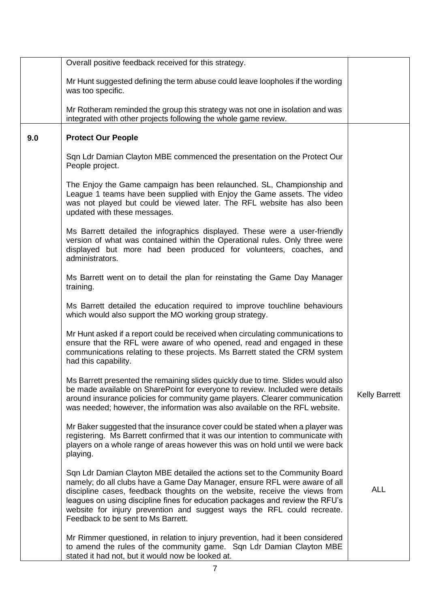|     | Overall positive feedback received for this strategy.                                                                                                                                                                                                                                                                                                                                                                                   |                      |
|-----|-----------------------------------------------------------------------------------------------------------------------------------------------------------------------------------------------------------------------------------------------------------------------------------------------------------------------------------------------------------------------------------------------------------------------------------------|----------------------|
|     | Mr Hunt suggested defining the term abuse could leave loopholes if the wording<br>was too specific.                                                                                                                                                                                                                                                                                                                                     |                      |
|     | Mr Rotheram reminded the group this strategy was not one in isolation and was<br>integrated with other projects following the whole game review.                                                                                                                                                                                                                                                                                        |                      |
| 9.0 | <b>Protect Our People</b>                                                                                                                                                                                                                                                                                                                                                                                                               |                      |
|     | Sqn Ldr Damian Clayton MBE commenced the presentation on the Protect Our<br>People project.                                                                                                                                                                                                                                                                                                                                             |                      |
|     | The Enjoy the Game campaign has been relaunched. SL, Championship and<br>League 1 teams have been supplied with Enjoy the Game assets. The video<br>was not played but could be viewed later. The RFL website has also been<br>updated with these messages.                                                                                                                                                                             |                      |
|     | Ms Barrett detailed the infographics displayed. These were a user-friendly<br>version of what was contained within the Operational rules. Only three were<br>displayed but more had been produced for volunteers, coaches, and<br>administrators.                                                                                                                                                                                       |                      |
|     | Ms Barrett went on to detail the plan for reinstating the Game Day Manager<br>training.                                                                                                                                                                                                                                                                                                                                                 |                      |
|     | Ms Barrett detailed the education required to improve touchline behaviours<br>which would also support the MO working group strategy.                                                                                                                                                                                                                                                                                                   |                      |
|     | Mr Hunt asked if a report could be received when circulating communications to<br>ensure that the RFL were aware of who opened, read and engaged in these<br>communications relating to these projects. Ms Barrett stated the CRM system<br>had this capability.                                                                                                                                                                        |                      |
|     | Ms Barrett presented the remaining slides quickly due to time. Slides would also<br>be made available on SharePoint for everyone to review. Included were details<br>around insurance policies for community game players. Clearer communication<br>was needed; however, the information was also available on the RFL website.                                                                                                         | <b>Kelly Barrett</b> |
|     | Mr Baker suggested that the insurance cover could be stated when a player was<br>registering. Ms Barrett confirmed that it was our intention to communicate with<br>players on a whole range of areas however this was on hold until we were back<br>playing.                                                                                                                                                                           |                      |
|     | Sqn Ldr Damian Clayton MBE detailed the actions set to the Community Board<br>namely; do all clubs have a Game Day Manager, ensure RFL were aware of all<br>discipline cases, feedback thoughts on the website, receive the views from<br>leagues on using discipline fines for education packages and review the RFU's<br>website for injury prevention and suggest ways the RFL could recreate.<br>Feedback to be sent to Ms Barrett. | <b>ALL</b>           |
|     | Mr Rimmer questioned, in relation to injury prevention, had it been considered<br>to amend the rules of the community game. Sqn Ldr Damian Clayton MBE<br>stated it had not, but it would now be looked at.                                                                                                                                                                                                                             |                      |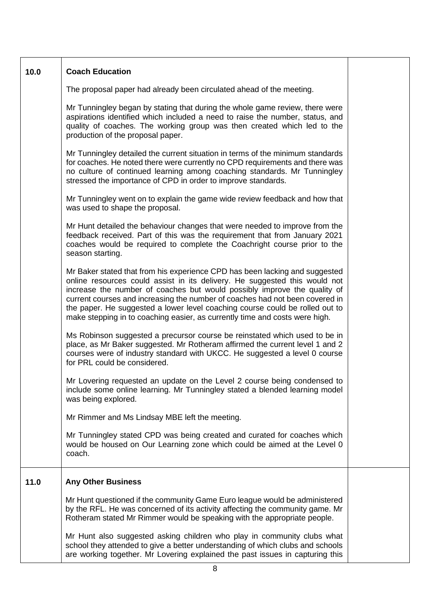| 10.0 | <b>Coach Education</b>                                                                                                                                                                                                                                                                                                                                                                                                                                                               |  |
|------|--------------------------------------------------------------------------------------------------------------------------------------------------------------------------------------------------------------------------------------------------------------------------------------------------------------------------------------------------------------------------------------------------------------------------------------------------------------------------------------|--|
|      | The proposal paper had already been circulated ahead of the meeting.                                                                                                                                                                                                                                                                                                                                                                                                                 |  |
|      | Mr Tunningley began by stating that during the whole game review, there were<br>aspirations identified which included a need to raise the number, status, and<br>quality of coaches. The working group was then created which led to the<br>production of the proposal paper.                                                                                                                                                                                                        |  |
|      | Mr Tunningley detailed the current situation in terms of the minimum standards<br>for coaches. He noted there were currently no CPD requirements and there was<br>no culture of continued learning among coaching standards. Mr Tunningley<br>stressed the importance of CPD in order to improve standards.                                                                                                                                                                          |  |
|      | Mr Tunningley went on to explain the game wide review feedback and how that<br>was used to shape the proposal.                                                                                                                                                                                                                                                                                                                                                                       |  |
|      | Mr Hunt detailed the behaviour changes that were needed to improve from the<br>feedback received. Part of this was the requirement that from January 2021<br>coaches would be required to complete the Coachright course prior to the<br>season starting.                                                                                                                                                                                                                            |  |
|      | Mr Baker stated that from his experience CPD has been lacking and suggested<br>online resources could assist in its delivery. He suggested this would not<br>increase the number of coaches but would possibly improve the quality of<br>current courses and increasing the number of coaches had not been covered in<br>the paper. He suggested a lower level coaching course could be rolled out to<br>make stepping in to coaching easier, as currently time and costs were high. |  |
|      | Ms Robinson suggested a precursor course be reinstated which used to be in<br>place, as Mr Baker suggested. Mr Rotheram affirmed the current level 1 and 2<br>courses were of industry standard with UKCC. He suggested a level 0 course<br>for PRL could be considered.                                                                                                                                                                                                             |  |
|      | Mr Lovering requested an update on the Level 2 course being condensed to<br>include some online learning. Mr Tunningley stated a blended learning model<br>was being explored.                                                                                                                                                                                                                                                                                                       |  |
|      | Mr Rimmer and Ms Lindsay MBE left the meeting.                                                                                                                                                                                                                                                                                                                                                                                                                                       |  |
|      | Mr Tunningley stated CPD was being created and curated for coaches which<br>would be housed on Our Learning zone which could be aimed at the Level 0<br>coach.                                                                                                                                                                                                                                                                                                                       |  |
| 11.0 | <b>Any Other Business</b>                                                                                                                                                                                                                                                                                                                                                                                                                                                            |  |
|      | Mr Hunt questioned if the community Game Euro league would be administered<br>by the RFL. He was concerned of its activity affecting the community game. Mr<br>Rotheram stated Mr Rimmer would be speaking with the appropriate people.                                                                                                                                                                                                                                              |  |
|      | Mr Hunt also suggested asking children who play in community clubs what<br>school they attended to give a better understanding of which clubs and schools<br>are working together. Mr Lovering explained the past issues in capturing this                                                                                                                                                                                                                                           |  |